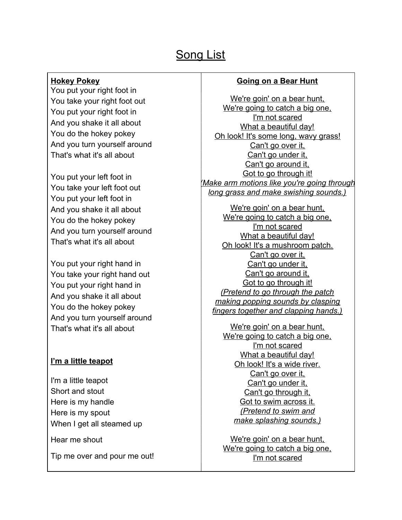# Song List

## **Hokey Pokey**

You put your right foot in You take your right foot out You put your right foot in And you shake it all about You do the hokey pokey And you turn yourself around That's what it's all about

You put your left foot in You take your left foot out You put your left foot in And you shake it all about You do the hokey pokey And you turn yourself around That's what it's all about

You put your right hand in You take your right hand out You put your right hand in And you shake it all about You do the hokey pokey And you turn yourself around That's what it's all about

## **I'm a little teapot**

I'm a little teapot Short and stout Here is my handle Here is my spout [When I get all steamed up](https://genius.com/Children-songs-im-a-little-teapot-lyrics#note-15739924)

[Hear me shout](https://genius.com/Children-songs-im-a-little-teapot-lyrics#note-15739925)

Tip me over and pour me out!

## **Going on a Bear Hunt**

We're goin' on a bear hunt. We're going to catch a big one, I'm not scared What a beautiful day! Oh look! It's some long, wavy grass! Can't go over it, Can't go under it, Can't go around it, Got to go through it! *(Make arm motions like you're going through long grass and make swishing sounds.)*

We're goin' on a bear hunt, We're going to catch a big one, I'm not scared What a beautiful day! Oh look! It's a mushroom patch. Can't go over it, Can't go under it, Can't go around it, Got to go through it! *(Pretend to go through the patch making popping sounds by clasping fingers together and clapping hands.)*

We're goin' on a bear hunt, We're going to catch a big one, I'm not scared What a beautiful day! Oh look! It's a wide river. Can't go over it, Can't go under it, Can't go through it, Got to swim across it. *(Pretend to swim and make splashing sounds.)*

We're goin' on a bear hunt, We're going to catch a big one, I'm not scared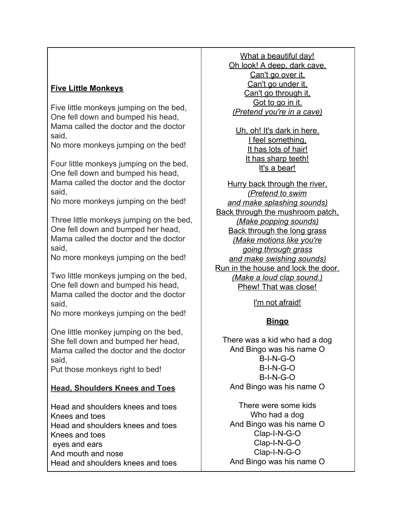# **Five Little Monkeys**

Five little monkeys jumping on the bed, One fell down and bumped his head, Mama called the doctor and the doctor said,

No more monkeys jumping on the bed!

Four little monkeys jumping on the bed, One fell down and bumped his head, Mama called the doctor and the doctor said,

No more monkeys jumping on the bed!

Three little monkeys jumping on the bed, One fell down and bumped her head, Mama called the doctor and the doctor said,

No more monkeys jumping on the bed!

Two little monkeys jumping on the bed, One fell down and bumped his head, Mama called the doctor and the doctor said,

No more monkeys jumping on the bed!

One little monkey jumping on the bed, She fell down and bumped her head, Mama called the doctor and the doctor said,

Put those monkeys right to bed!

# **Head, Shoulders Knees and Toes**

Head and shoulders knees and toes Knees and toes Head and shoulders knees and toes Knees and toes eyes and ears And mouth and nose Head and shoulders knees and toes

What a beautiful day! Oh look! A deep, dark cave. Can't go over it, Can't go under it, Can't go through it, Got to go in it. *(Pretend you're in a cave)*

Uh, oh! It's dark in here. I feel something, It has lots of hair! It has sharp teeth! It's a bear!

Hurry back through the river, *(Pretend to swim and make splashing sounds)* Back through the mushroom patch, *(Make popping sounds)* Back through the long grass *(Make motions like you're going through grass and make swishing sounds)* Run in the house and lock the door. *(Make a loud clap sound.)* Phew! That was close!

I'm not afraid!

# **Bingo**

There was a kid who had a dog And Bingo was his name O B-I-N-G-O B-I-N-G-O B-I-N-G-O And Bingo was his name O

There were some kids Who had a dog And Bingo was his name O Clap-I-N-G-O Clap-I-N-G-O Clap-I-N-G-O And Bingo was his name O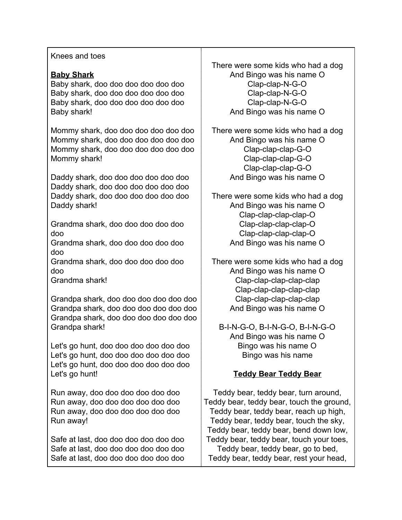Knees and toes

#### **Baby Shark**

Baby shark, doo doo doo doo doo doo Baby shark, doo doo doo doo doo doo Baby shark, doo doo doo doo doo doo Baby shark!

Mommy shark, doo doo doo doo doo doo Mommy shark, doo doo doo doo doo doo Mommy shark, doo doo doo doo doo doo Mommy shark!

Daddy shark, doo doo doo doo doo doo Daddy shark, doo doo doo doo doo doo Daddy shark, doo doo doo doo doo doo Daddy shark!

Grandma shark, doo doo doo doo doo doo

Grandma shark, doo doo doo doo doo doo

Grandma shark, doo doo doo doo doo doo

Grandma shark!

Grandpa shark, doo doo doo doo doo doo Grandpa shark, doo doo doo doo doo doo Grandpa shark, doo doo doo doo doo doo Grandpa shark!

Let's go hunt, doo doo doo doo doo doo Let's go hunt, doo doo doo doo doo doo Let's go hunt, doo doo doo doo doo doo Let's go hunt!

Run away, doo doo doo doo doo doo Run away, doo doo doo doo doo doo Run away, doo doo doo doo doo doo Run away!

Safe at last, doo doo doo doo doo doo Safe at last, doo doo doo doo doo doo Safe at last, doo doo doo doo doo doo There were some kids who had a dog And Bingo was his name O Clap-clap-N-G-O Clap-clap-N-G-O Clap-clap-N-G-O And Bingo was his name O

There were some kids who had a dog And Bingo was his name O Clap-clap-clap-G-O Clap-clap-clap-G-O Clap-clap-clap-G-O And Bingo was his name O

There were some kids who had a dog And Bingo was his name O Clap-clap-clap-clap-O Clap-clap-clap-clap-O Clap-clap-clap-clap-O And Bingo was his name O

There were some kids who had a dog And Bingo was his name O Clap-clap-clap-clap-clap Clap-clap-clap-clap-clap Clap-clap-clap-clap-clap And Bingo was his name O

B-I-N-G-O, B-I-N-G-O, B-I-N-G-O And Bingo was his name O Bingo was his name O Bingo was his name

## **Teddy Bear Teddy Bear**

Teddy bear, teddy bear, turn around, Teddy bear, teddy bear, touch the ground, Teddy bear, teddy bear, reach up high, Teddy bear, teddy bear, touch the sky, Teddy bear, teddy bear, bend down low, Teddy bear, teddy bear, touch your toes, Teddy bear, teddy bear, go to bed,

Teddy bear, teddy bear, rest your head,